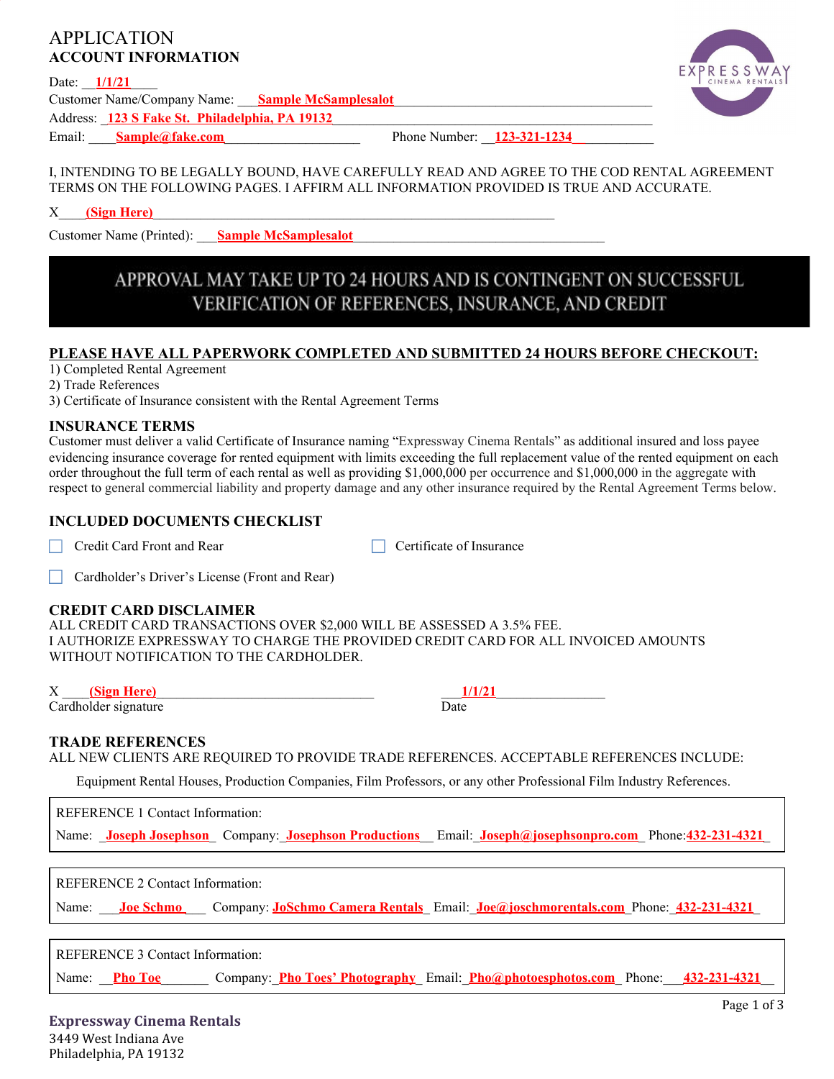## APPLICATION **ACCOUNT INFORMATION**

Date:  $1/1/21$ 



Customer Name/Company Name: **Sample McSamplesalot** Address: \_**123 S Fake St. Philadelphia, PA 19132**\_\_\_\_\_\_\_\_\_\_\_\_\_\_\_\_\_\_\_\_\_\_\_\_\_\_\_\_\_\_\_\_\_\_\_\_\_\_\_\_\_\_\_\_\_\_\_ Email: **Sample@fake.com**<br> **Email:** Sample@fake.com

### I, INTENDING TO BE LEGALLY BOUND, HAVE CAREFULLY READ AND AGREE TO THE COD RENTAL AGREEMENT TERMS ON THE FOLLOWING PAGES. I AFFIRM ALL INFORMATION PROVIDED IS TRUE AND ACCURATE.

X\_\_\_\_**(Sign Here)**\_\_\_\_\_\_\_\_\_\_\_\_\_\_\_\_\_\_\_\_\_\_\_\_\_\_\_\_\_\_\_\_\_\_\_\_\_\_\_\_\_\_\_\_\_\_\_\_\_\_\_\_\_\_\_\_\_\_\_

Customer Name (Printed): **Sample McSamplesalot** 

# APPROVAL MAY TAKE UP TO 24 HOURS AND IS CONTINGENT ON SUCCESSFUL VERIFICATION OF REFERENCES, INSURANCE, AND CREDIT

## **PLEASE HAVE ALL PAPERWORK COMPLETED AND SUBMITTED 24 HOURS BEFORE CHECKOUT:**

1) Completed Rental Agreement

2) Trade References

3) Certificate of Insurance consistent with the Rental Agreement Terms

#### **INSURANCE TERMS**

Customer must deliver a valid Certificate of Insurance naming "Expressway Cinema Rentals" as additional insured and loss payee evidencing insurance coverage for rented equipment with limits exceeding the full replacement value of the rented equipment on each order throughout the full term of each rental as well as providing \$1,000,000 per occurrence and \$1,000,000 in the aggregate with respect to general commercial liability and property damage and any other insurance required by the Rental Agreement Terms below.

## **INCLUDED DOCUMENTS CHECKLIST**

Credit Card Front and Rear Certificate of Insurance

□ Cardholder's Driver's License (Front and Rear)

#### **CREDIT CARD DISCLAIMER**

ALL CREDIT CARD TRANSACTIONS OVER \$2,000 WILL BE ASSESSED A 3.5% FEE. I AUTHORIZE EXPRESSWAY TO CHARGE THE PROVIDED CREDIT CARD FOR ALL INVOICED AMOUNTS WITHOUT NOTIFICATION TO THE CARDHOLDER.

X \_\_\_\_**(Sign Here)**\_\_\_\_\_\_\_\_\_\_\_\_\_\_\_\_\_\_\_\_\_\_\_\_\_\_\_\_\_\_\_\_ \_\_\_**1/1/21**\_\_\_\_\_\_\_\_\_\_\_\_\_\_\_\_

Cardholder signature Date

## **TRADE REFERENCES**

ALL NEW CLIENTS ARE REQUIRED TO PROVIDE TRADE REFERENCES. ACCEPTABLE REFERENCES INCLUDE:

Equipment Rental Houses, Production Companies, Film Professors, or any other Professional Film Industry References.

REFERENCE 1 Contact Information:

Name: \_**Joseph Josephson**\_ Company:\_**Josephson Productions**\_\_ Email:\_**Joseph@josephsonpro.com**\_ Phone:**432-231-4321**\_

REFERENCE 2 Contact Information:

Name: **Joe Schmo** Company: **JoSchmo Camera Rentals** Email: **Joe@joschmorentals.com** Phone:  $432-231-4321$ 

REFERENCE 3 Contact Information:

Name: **Pho Toe Company: Pho Toes' Photography** Email: **Pho@photoesphotos.com** Phone: 432-231-4321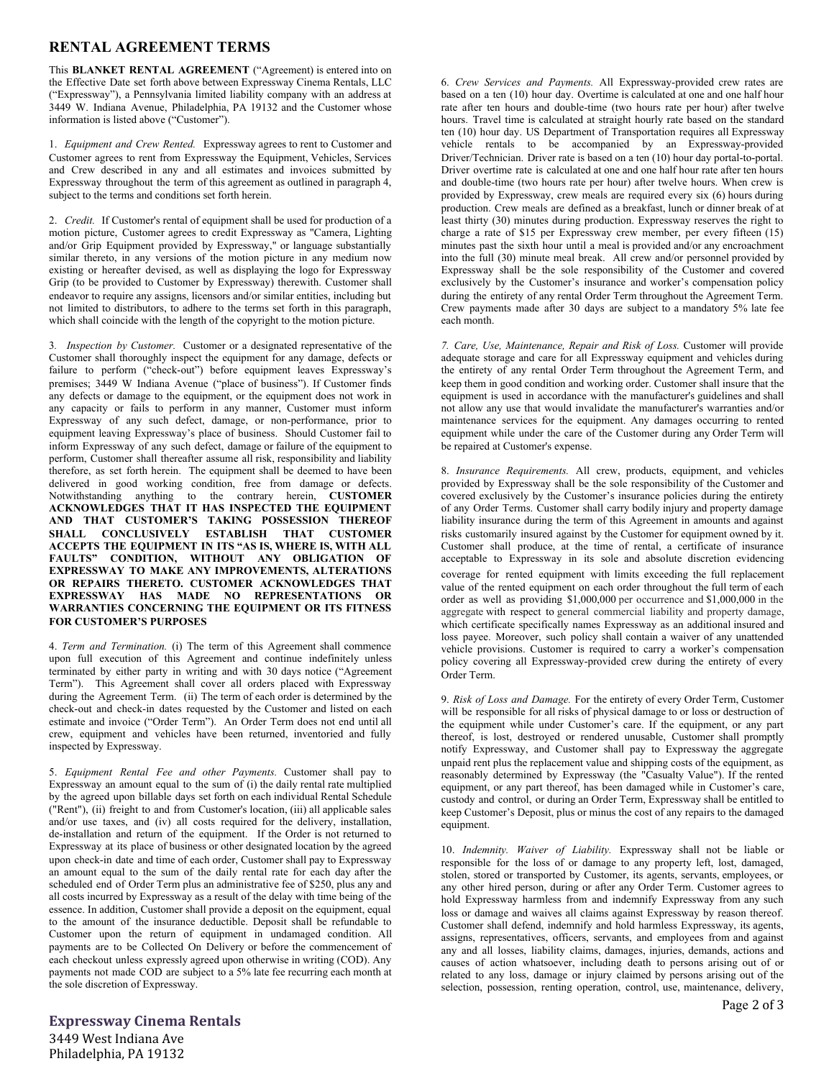#### **RENTAL AGREEMENT TERMS**

This **BLANKET RENTAL AGREEMENT** ("Agreement) is entered into on the Effective Date set forth above between Expressway Cinema Rentals, LLC ("Expressway"), a Pennsylvania limited liability company with an address at 3449 W. Indiana Avenue, Philadelphia, PA 19132 and the Customer whose information is listed above ("Customer").

1. *Equipment and Crew Rented.* Expressway agrees to rent to Customer and Customer agrees to rent from Expressway the Equipment, Vehicles, Services and Crew described in any and all estimates and invoices submitted by Expressway throughout the term of this agreement as outlined in paragraph 4, subject to the terms and conditions set forth herein.

2. *Credit.* If Customer's rental of equipment shall be used for production of a motion picture, Customer agrees to credit Expressway as "Camera, Lighting and/or Grip Equipment provided by Expressway," or language substantially similar thereto, in any versions of the motion picture in any medium now existing or hereafter devised, as well as displaying the logo for Expressway Grip (to be provided to Customer by Expressway) therewith. Customer shall endeavor to require any assigns, licensors and/or similar entities, including but not limited to distributors, to adhere to the terms set forth in this paragraph, which shall coincide with the length of the copyright to the motion picture.

3*. Inspection by Customer.* Customer or a designated representative of the Customer shall thoroughly inspect the equipment for any damage, defects or failure to perform ("check-out") before equipment leaves Expressway's premises; 3449 W Indiana Avenue ("place of business"). If Customer finds any defects or damage to the equipment, or the equipment does not work in any capacity or fails to perform in any manner, Customer must inform Expressway of any such defect, damage, or non-performance, prior to equipment leaving Expressway's place of business. Should Customer fail to inform Expressway of any such defect, damage or failure of the equipment to perform, Customer shall thereafter assume all risk, responsibility and liability therefore, as set forth herein. The equipment shall be deemed to have been delivered in good working condition, free from damage or defects. Notwithstanding anything to the contrary herein, **CUSTOMER ACKNOWLEDGES THAT IT HAS INSPECTED THE EQUIPMENT AND THAT CUSTOMER'S TAKING POSSESSION THEREOF SHALL CONCLUSIVELY ESTABLISH THAT CUSTOMER ACCEPTS THE EQUIPMENT IN ITS "AS IS, WHERE IS, WITH ALL FAULTS" CONDITION, WITHOUT ANY OBLIGATION OF EXPRESSWAY TO MAKE ANY IMPROVEMENTS, ALTERATIONS OR REPAIRS THERETO. CUSTOMER ACKNOWLEDGES THAT EXPRESSWAY HAS MADE NO REPRESENTATIONS OR WARRANTIES CONCERNING THE EQUIPMENT OR ITS FITNESS FOR CUSTOMER'S PURPOSES**

4. *Term and Termination.* (i) The term of this Agreement shall commence upon full execution of this Agreement and continue indefinitely unless terminated by either party in writing and with 30 days notice ("Agreement Term"). This Agreement shall cover all orders placed with Expressway during the Agreement Term. (ii) The term of each order is determined by the check-out and check-in dates requested by the Customer and listed on each estimate and invoice ("Order Term"). An Order Term does not end until all crew, equipment and vehicles have been returned, inventoried and fully inspected by Expressway.

5. *Equipment Rental Fee and other Payments.* Customer shall pay to Expressway an amount equal to the sum of (i) the daily rental rate multiplied by the agreed upon billable days set forth on each individual Rental Schedule ("Rent"), (ii) freight to and from Customer's location, (iii) all applicable sales and/or use taxes, and (iv) all costs required for the delivery, installation, de-installation and return of the equipment. If the Order is not returned to Expressway at its place of business or other designated location by the agreed upon check-in date and time of each order, Customer shall pay to Expressway an amount equal to the sum of the daily rental rate for each day after the scheduled end of Order Term plus an administrative fee of \$250, plus any and all costs incurred by Expressway as a result of the delay with time being of the essence. In addition, Customer shall provide a deposit on the equipment, equal to the amount of the insurance deductible. Deposit shall be refundable to Customer upon the return of equipment in undamaged condition. All payments are to be Collected On Delivery or before the commencement of each checkout unless expressly agreed upon otherwise in writing (COD). Any payments not made COD are subject to a 5% late fee recurring each month at the sole discretion of Expressway.

6. *Crew Services and Payments.* All Expressway-provided crew rates are based on a ten (10) hour day. Overtime is calculated at one and one half hour rate after ten hours and double-time (two hours rate per hour) after twelve hours. Travel time is calculated at straight hourly rate based on the standard ten (10) hour day. US Department of Transportation requires all Expressway vehicle rentals to be accompanied by an Expressway-provided Driver/Technician. Driver rate is based on a ten (10) hour day portal-to-portal. Driver overtime rate is calculated at one and one half hour rate after ten hours and double-time (two hours rate per hour) after twelve hours. When crew is provided by Expressway, crew meals are required every six (6) hours during production. Crew meals are defined as a breakfast, lunch or dinner break of at least thirty (30) minutes during production. Expressway reserves the right to charge a rate of \$15 per Expressway crew member, per every fifteen (15) minutes past the sixth hour until a meal is provided and/or any encroachment into the full (30) minute meal break. All crew and/or personnel provided by Expressway shall be the sole responsibility of the Customer and covered exclusively by the Customer's insurance and worker's compensation policy during the entirety of any rental Order Term throughout the Agreement Term. Crew payments made after 30 days are subject to a mandatory 5% late fee each month.

*7. Care, Use, Maintenance, Repair and Risk of Loss.* Customer will provide adequate storage and care for all Expressway equipment and vehicles during the entirety of any rental Order Term throughout the Agreement Term, and keep them in good condition and working order. Customer shall insure that the equipment is used in accordance with the manufacturer's guidelines and shall not allow any use that would invalidate the manufacturer's warranties and/or maintenance services for the equipment. Any damages occurring to rented equipment while under the care of the Customer during any Order Term will be repaired at Customer's expense.

8. *Insurance Requirements.* All crew, products, equipment, and vehicles provided by Expressway shall be the sole responsibility of the Customer and covered exclusively by the Customer's insurance policies during the entirety of any Order Terms. Customer shall carry bodily injury and property damage liability insurance during the term of this Agreement in amounts and against risks customarily insured against by the Customer for equipment owned by it. Customer shall produce, at the time of rental, a certificate of insurance acceptable to Expressway in its sole and absolute discretion evidencing coverage for rented equipment with limits exceeding the full replacement value of the rented equipment on each order throughout the full term of each order as well as providing \$1,000,000 per occurrence and \$1,000,000 in the aggregate with respect to general commercial liability and property damage, which certificate specifically names Expressway as an additional insured and loss payee. Moreover, such policy shall contain a waiver of any unattended vehicle provisions. Customer is required to carry a worker's compensation policy covering all Expressway-provided crew during the entirety of every Order Term.

9. *Risk of Loss and Damage.* For the entirety of every Order Term, Customer will be responsible for all risks of physical damage to or loss or destruction of the equipment while under Customer's care. If the equipment, or any part thereof, is lost, destroyed or rendered unusable, Customer shall promptly notify Expressway, and Customer shall pay to Expressway the aggregate unpaid rent plus the replacement value and shipping costs of the equipment, as reasonably determined by Expressway (the "Casualty Value"). If the rented equipment, or any part thereof, has been damaged while in Customer's care, custody and control, or during an Order Term, Expressway shall be entitled to keep Customer's Deposit, plus or minus the cost of any repairs to the damaged equipment.

10. *Indemnity. Waiver of Liability.* Expressway shall not be liable or responsible for the loss of or damage to any property left, lost, damaged, stolen, stored or transported by Customer, its agents, servants, employees, or any other hired person, during or after any Order Term. Customer agrees to hold Expressway harmless from and indemnify Expressway from any such loss or damage and waives all claims against Expressway by reason thereof. Customer shall defend, indemnify and hold harmless Expressway, its agents, assigns, representatives, officers, servants, and employees from and against any and all losses, liability claims, damages, injuries, demands, actions and causes of action whatsoever, including death to persons arising out of or related to any loss, damage or injury claimed by persons arising out of the selection, possession, renting operation, control, use, maintenance, delivery,

**Expressway Cinema Rentals** 3449 West Indiana Ave Philadelphia, PA 19132